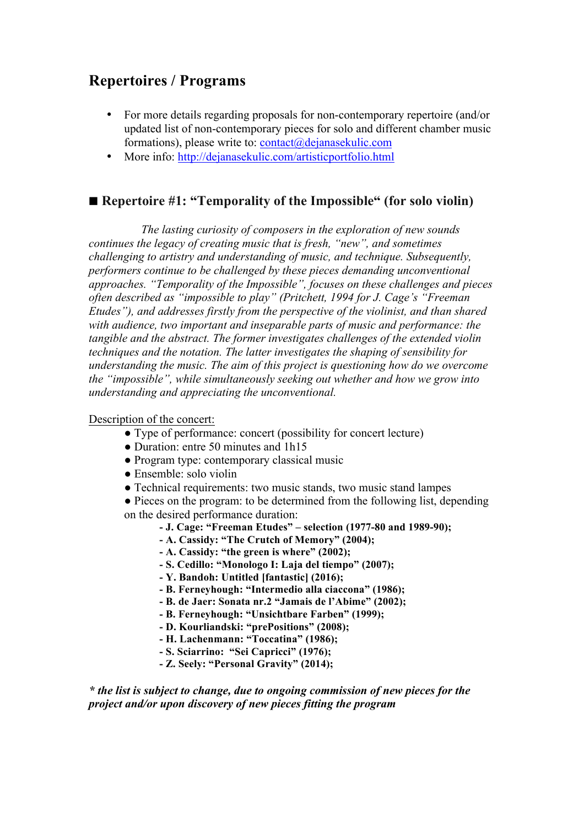# **Repertoires / Programs**

- For more details regarding proposals for non-contemporary repertoire (and/or updated list of non-contemporary pieces for solo and different chamber music formations), please write to:  $contact(\hat{a})$ dejanasekulic.com
- More info: http://dejanasekulic.com/artisticportfolio.html

## ◼ **Repertoire #1: "Temporality of the Impossible" (for solo violin)**

*The lasting curiosity of composers in the exploration of new sounds continues the legacy of creating music that is fresh, "new", and sometimes challenging to artistry and understanding of music, and technique. Subsequently, performers continue to be challenged by these pieces demanding unconventional approaches. "Temporality of the Impossible", focuses on these challenges and pieces often described as "impossible to play" (Pritchett, 1994 for J. Cage's "Freeman Etudes"), and addresses firstly from the perspective of the violinist, and than shared with audience, two important and inseparable parts of music and performance: the tangible and the abstract. The former investigates challenges of the extended violin techniques and the notation. The latter investigates the shaping of sensibility for understanding the music. The aim of this project is questioning how do we overcome the "impossible", while simultaneously seeking out whether and how we grow into understanding and appreciating the unconventional.*

### Description of the concert:

- Type of performance: concert (possibility for concert lecture)
- Duration: entre 50 minutes and 1h15
- Program type: contemporary classical music
- Ensemble: solo violin
- Technical requirements: two music stands, two music stand lampes
- Pieces on the program: to be determined from the following list, depending on the desired performance duration:
	- **- J. Cage: "Freeman Etudes" – selection (1977-80 and 1989-90);**
	- **- A. Cassidy: "The Crutch of Memory" (2004);**
	- **- A. Cassidy: "the green is where" (2002);**
	- **- S. Cedillo: "Monologo I: Laja del tiempo" (2007);**
	- **- Y. Bandoh: Untitled [fantastic] (2016);**
	- **- B. Ferneyhough: "Intermedio alla ciaccona" (1986);**
	- **- B. de Jaer: Sonata nr.2 "Jamais de l'Abime" (2002);**
	- **- B. Ferneyhough: "Unsichtbare Farben" (1999);**
	- **- D. Kourliandski: "prePositions" (2008);**
	- **- H. Lachenmann: "Toccatina" (1986);**
	- **- S. Sciarrino: "Sei Capricci" (1976);**
	- **- Z. Seely: "Personal Gravity" (2014);**

*\* the list is subject to change, due to ongoing commission of new pieces for the project and/or upon discovery of new pieces fitting the program*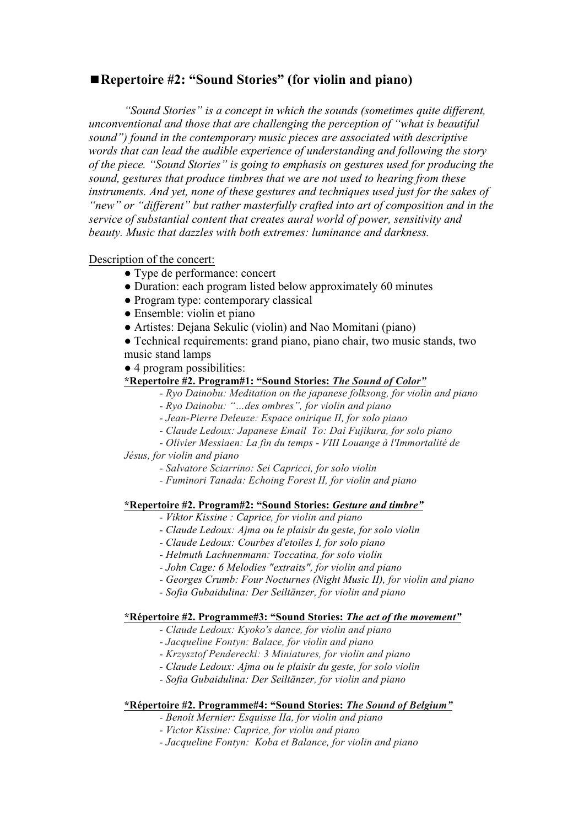## ◼**Repertoire #2: "Sound Stories" (for violin and piano)**

*"Sound Stories" is a concept in which the sounds (sometimes quite different, unconventional and those that are challenging the perception of "what is beautiful sound") found in the contemporary music pieces are associated with descriptive words that can lead the audible experience of understanding and following the story of the piece. "Sound Stories" is going to emphasis on gestures used for producing the sound, gestures that produce timbres that we are not used to hearing from these instruments. And yet, none of these gestures and techniques used just for the sakes of "new" or "different" but rather masterfully crafted into art of composition and in the service of substantial content that creates aural world of power, sensitivity and beauty. Music that dazzles with both extremes: luminance and darkness.*

#### Description of the concert:

- Type de performance: concert
- Duration: each program listed below approximately 60 minutes
- Program type: contemporary classical
- Ensemble: violin et piano
- Artistes: Dejana Sekulic (violin) and Nao Momitani (piano)
- Technical requirements: grand piano, piano chair, two music stands, two music stand lamps

● 4 program possibilities:

#### **\*Repertoire #2. Program#1: "Sound Stories:** *The Sound of Color"*

- *- Ryo Dainobu: Meditation on the japanese folksong, for violin and piano*
- *- Ryo Dainobu: "…des ombres", for violin and piano*
- *- Jean-Pierre Deleuze: Espace onirique II, for solo piano*
- *- Claude Ledoux: Japanese Email To: Dai Fujikura, for solo piano*
- *- Olivier Messiaen: La fin du temps - VIII Louange à l'Immortalité de*

*Jésus, for violin and piano*

- *- Salvatore Sciarrino: Sei Capricci, for solo violin*
- *- Fuminori Tanada: Echoing Forest II, for violin and piano*

#### **\*Repertoire #2. Program#2: "Sound Stories:** *Gesture and timbre"*

- *- Viktor Kissine : Caprice, for violin and piano*
- *- Claude Ledoux: Ajma ou le plaisir du geste, for solo violin*
- *- Claude Ledoux: Courbes d'etoiles I, for solo piano*
- *- Helmuth Lachnenmann: Toccatina, for solo violin*
- *- John Cage: 6 Melodies "extraits", for violin and piano*
- *- Georges Crumb: Four Nocturnes (Night Music II), for violin and piano*
- *- Sofia Gubaidulina: Der Seiltänzer, for violin and piano*

#### **\*Répertoire #2. Programme#3: "Sound Stories:** *The act of the movement"*

- *- Claude Ledoux: Kyoko's dance, for violin and piano*
- *- Jacqueline Fontyn: Balace, for violin and piano*
- *- Krzysztof Penderecki: 3 Miniatures, for violin and piano*
- *- Claude Ledoux: Ajma ou le plaisir du geste, for solo violin*
- *- Sofia Gubaidulina: Der Seiltänzer, for violin and piano*

#### **\*Répertoire #2. Programme#4: "Sound Stories:** *The Sound of Belgium"*

- *- Benoît Mernier: Esquisse IIa, for violin and piano*
- *- Victor Kissine: Caprice, for violin and piano*
- *- Jacqueline Fontyn: Koba et Balance, for violin and piano*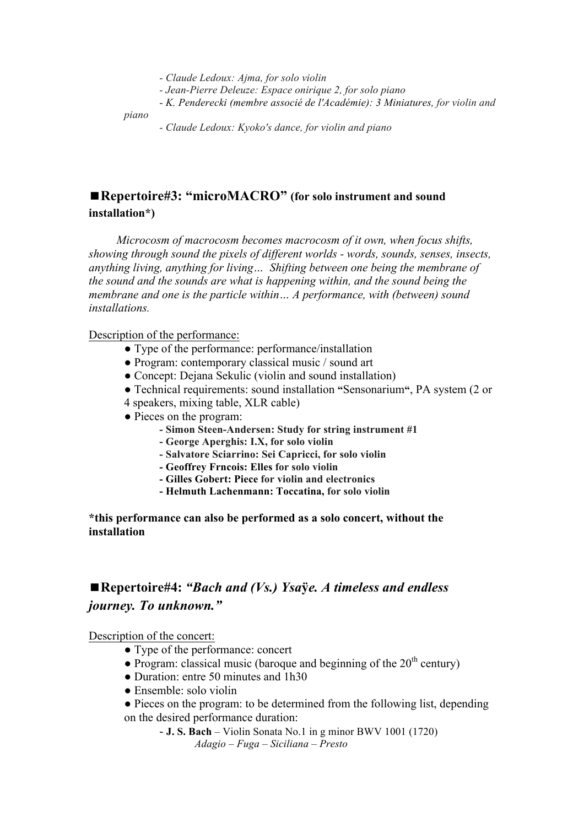- *- Claude Ledoux: Ajma, for solo violin*
- *- Jean-Pierre Deleuze: Espace onirique 2, for solo piano*
- *- K. Penderecki (membre associé de l'Académie): 3 Miniatures, for violin and*

*piano*

*- Claude Ledoux: Kyoko's dance, for violin and piano*

## ■ Repertoire#3: "microMACRO" (for solo instrument and sound **installation\*)**

*Microcosm of macrocosm becomes macrocosm of it own, when focus shifts, showing through sound the pixels of different worlds - words, sounds, senses, insects, anything living, anything for living… Shifting between one being the membrane of the sound and the sounds are what is happening within, and the sound being the membrane and one is the particle within… A performance, with (between) sound installations.*

#### Description of the performance:

- Type of the performance: performance/installation
- Program: contemporary classical music / sound art
- Concept: Dejana Sekulic (violin and sound installation)
- Technical requirements: sound installation **"**Sensonarium**"**, PA system (2 or
- 4 speakers, mixing table, XLR cable)
- Pieces on the program:
	- **- Simon Steen-Andersen: Study for string instrument #1**
	- **- George Aperghis: I.X, for solo violin**
	- **- Salvatore Sciarrino: Sei Capricci, for solo violin**
	- **- Geoffrey Frncois: Elles for solo violin**
	- **- Gilles Gobert: Piece for violin and electronics**
	- **- Helmuth Lachenmann: Toccatina, for solo violin**

### **\*this performance can also be performed as a solo concert, without the installation**

## ◼**Repertoire#4:** *"Bach and (Vs.) Ysa***ÿ***e. A timeless and endless journey. To unknown."*

Description of the concert:

- Type of the performance: concert
- Program: classical music (baroque and beginning of the  $20<sup>th</sup>$  century)
- Duration: entre 50 minutes and 1h30
- Ensemble: solo violin
- Pieces on the program: to be determined from the following list, depending on the desired performance duration:
	- **J. S. Bach** Violin Sonata No.1 in g minor BWV 1001 (1720) *Adagio – Fuga – Siciliana – Presto*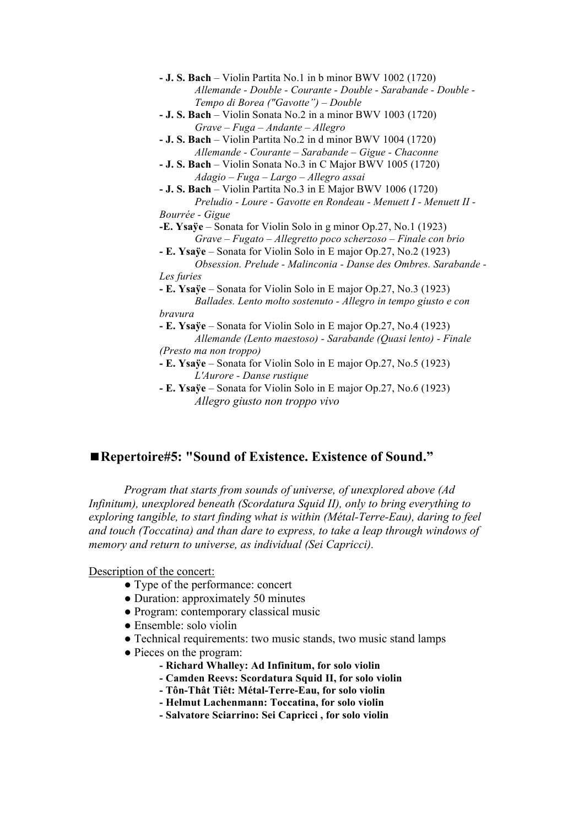

## ■ Repertoire#5: "Sound of Existence. Existence of Sound."

*Program that starts from sounds of universe, of unexplored above (Ad Infinitum), unexplored beneath (Scordatura Squid II), only to bring everything to exploring tangible, to start finding what is within (Métal-Terre-Eau), daring to feel and touch (Toccatina) and than dare to express, to take a leap through windows of memory and return to universe, as individual (Sei Capricci).*

#### Description of the concert:

- Type of the performance: concert
- Duration: approximately 50 minutes
- Program: contemporary classical music
- Ensemble: solo violin
- Technical requirements: two music stands, two music stand lamps
- Pieces on the program:
	- **- Richard Whalley: Ad Infinitum, for solo violin**
	- **- Camden Reevs: Scordatura Squid II, for solo violin**
	- **- Tôn-Thât Tiêt: Métal-Terre-Eau, for solo violin**
	- **- Helmut Lachenmann: Toccatina, for solo violin**
	- **- Salvatore Sciarrino: Sei Capricci , for solo violin**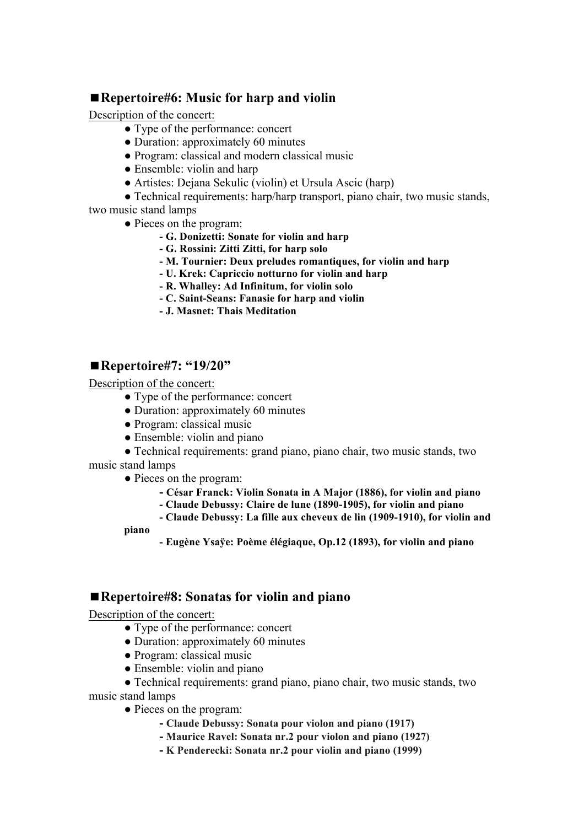## ■ Repertoire#6: Music for harp and violin

Description of the concert:

- Type of the performance: concert
- Duration: approximately 60 minutes
- Program: classical and modern classical music
- Ensemble: violin and harp
- Artistes: Dejana Sekulic (violin) et Ursula Ascic (harp)

• Technical requirements: harp/harp transport, piano chair, two music stands, two music stand lamps

- Pieces on the program:
	- **- G. Donizetti: Sonate for violin and harp**
	- **- G. Rossini: Zitti Zitti, for harp solo**
	- **- M. Tournier: Deux preludes romantiques, for violin and harp**
	- **- U. Krek: Capriccio notturno for violin and harp**
	- **- R. Whalley: Ad Infinitum, for violin solo**
	- **- C. Saint-Seans: Fanasie for harp and violin**
	- **- J. Masnet: Thais Meditation**

### ■**Repertoire#7: "19/20"**

Description of the concert:

- Type of the performance: concert
- Duration: approximately 60 minutes
- Program: classical music
- Ensemble: violin and piano

● Technical requirements: grand piano, piano chair, two music stands, two music stand lamps

- Pieces on the program:
	- **- César Franck: Violin Sonata in A Major (1886), for violin and piano**
	- **- Claude Debussy: Claire de lune (1890-1905), for violin and piano**
	- **- Claude Debussy: La fille aux cheveux de lin (1909-1910), for violin and**

**piano**

**- Eugène Ysaÿe: Poème élégiaque, Op.12 (1893), for violin and piano**

## ■ Repertoire#8: Sonatas for violin and piano

Description of the concert:

- Type of the performance: concert
- Duration: approximately 60 minutes
- Program: classical music
- Ensemble: violin and piano

• Technical requirements: grand piano, piano chair, two music stands, two

music stand lamps

- Pieces on the program:
	- **- Claude Debussy: Sonata pour violon and piano (1917)**
	- **- Maurice Ravel: Sonata nr.2 pour violon and piano (1927)**
	- **- K Penderecki: Sonata nr.2 pour violin and piano (1999)**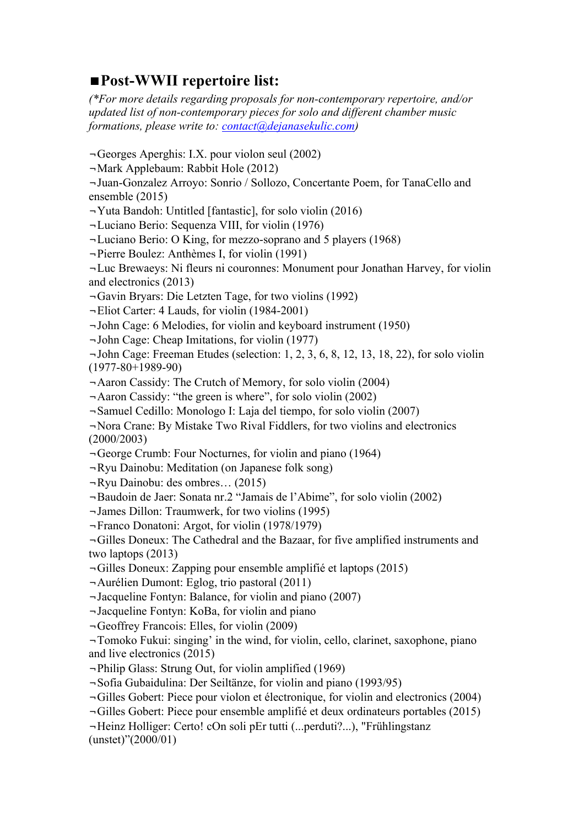# ◼**Post-WWII repertoire list:**

*(\*For more details regarding proposals for non-contemporary repertoire, and/or updated list of non-contemporary pieces for solo and different chamber music formations, please write to: contact@dejanasekulic.com)*

¬Georges Aperghis: I.X. pour violon seul (2002)

¬Mark Applebaum: Rabbit Hole (2012)

¬Juan-Gonzalez Arroyo: Sonrio / Sollozo, Concertante Poem, for TanaCello and ensemble (2015)

¬Yuta Bandoh: Untitled [fantastic], for solo violin (2016)

¬Luciano Berio: Sequenza VIII, for violin (1976)

¬Luciano Berio: O King, for mezzo-soprano and 5 players (1968)

¬Pierre Boulez: Anthèmes I, for violin (1991)

¬Luc Brewaeys: Ni fleurs ni couronnes: Monument pour Jonathan Harvey, for violin and electronics (2013)

¬Gavin Bryars: Die Letzten Tage, for two violins (1992)

¬Eliot Carter: 4 Lauds, for violin (1984-2001)

¬John Cage: 6 Melodies, for violin and keyboard instrument (1950)

¬John Cage: Cheap Imitations, for violin (1977)

¬John Cage: Freeman Etudes (selection: 1, 2, 3, 6, 8, 12, 13, 18, 22), for solo violin (1977-80+1989-90)

¬Aaron Cassidy: The Crutch of Memory, for solo violin (2004)

¬Aaron Cassidy: "the green is where", for solo violin (2002)

¬Samuel Cedillo: Monologo I: Laja del tiempo, for solo violin (2007)

¬Nora Crane: By Mistake Two Rival Fiddlers, for two violins and electronics (2000/2003)

¬George Crumb: Four Nocturnes, for violin and piano (1964)

¬Ryu Dainobu: Meditation (on Japanese folk song)

¬Ryu Dainobu: des ombres… (2015)

¬Baudoin de Jaer: Sonata nr.2 "Jamais de l'Abime", for solo violin (2002)

¬James Dillon: Traumwerk, for two violins (1995)

¬Franco Donatoni: Argot, for violin (1978/1979)

¬Gilles Doneux: The Cathedral and the Bazaar, for five amplified instruments and two laptops (2013)

¬Gilles Doneux: Zapping pour ensemble amplifié et laptops (2015)

¬Aurélien Dumont: Eglog, trio pastoral (2011)

¬Jacqueline Fontyn: Balance, for violin and piano (2007)

¬Jacqueline Fontyn: KoBa, for violin and piano

¬Geoffrey Francois: Elles, for violin (2009)

¬Tomoko Fukui: singing' in the wind, for violin, cello, clarinet, saxophone, piano and live electronics (2015)

¬Philip Glass: Strung Out, for violin amplified (1969)

¬Sofia Gubaidulina: Der Seiltänze, for violin and piano (1993/95)

¬Gilles Gobert: Piece pour violon et électronique, for violin and electronics (2004)

¬Gilles Gobert: Piece pour ensemble amplifié et deux ordinateurs portables (2015)

¬Heinz Holliger: Certo! cOn soli pEr tutti (...perduti?...), "Frühlingstanz (unstet)"(2000/01)